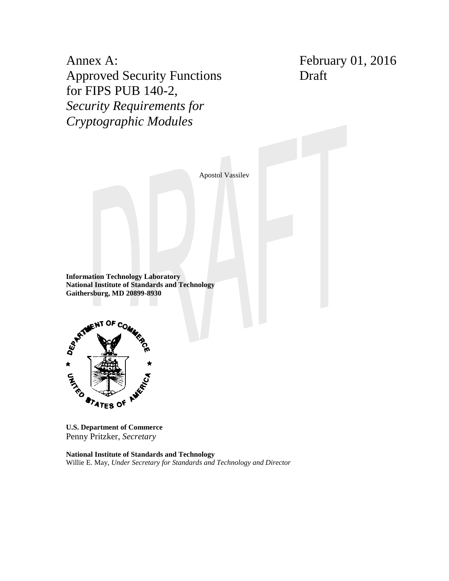Annex A: Approved Security Functions for FIPS PUB 140-2, *Security Requirements for Cryptographic Modules*

February 01, 2016 Draft

Apostol Vassilev

**Information Technology Laboratory National Institute of Standards and Technology Gaithersburg, MD 20899-8930**



**U.S. Department of Commerce** Penny Pritzker, *Secretary*

**National Institute of Standards and Technology** Willie E. May, *Under Secretary for Standards and Technology and Director*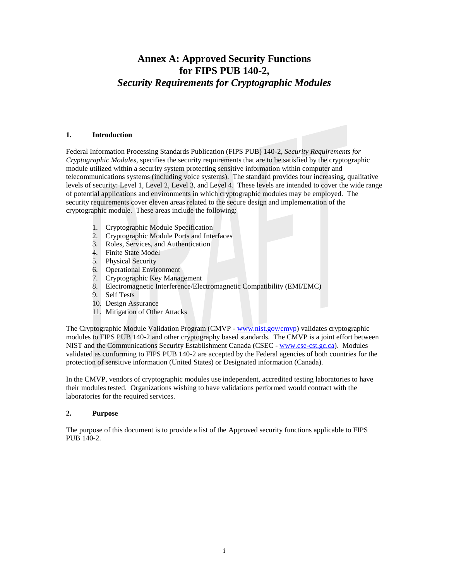# **Annex A: Approved Security Functions for FIPS PUB 140-2,** *Security Requirements for Cryptographic Modules*

#### **1. Introduction**

Federal Information Processing Standards Publication (FIPS PUB) 140-2, *Security Requirements for Cryptographic Modules*, specifies the security requirements that are to be satisfied by the cryptographic module utilized within a security system protecting sensitive information within computer and telecommunications systems (including voice systems). The standard provides four increasing, qualitative levels of security: Level 1, Level 2, Level 3, and Level 4. These levels are intended to cover the wide range of potential applications and environments in which cryptographic modules may be employed. The security requirements cover eleven areas related to the secure design and implementation of the cryptographic module. These areas include the following:

- 1. Cryptographic Module Specification
- 2. Cryptographic Module Ports and Interfaces
- 3. Roles, Services, and Authentication
- 4. Finite State Model
- 5. Physical Security
- 6. Operational Environment
- 7. Cryptographic Key Management
- 8. Electromagnetic Interference/Electromagnetic Compatibility (EMI/EMC)
- 9. Self Tests
- 10. Design Assurance
- 11. Mitigation of Other Attacks

The Cryptographic Module Validation Program (CMVP - [www.nist.gov/cmvp\)](http://www.nist.gov/cmvp) validates cryptographic modules to FIPS PUB 140-2 and other cryptography based standards. The CMVP is a joint effort between NIST and the Communications Security Establishment Canada (CSEC - [www.cse-cst.gc.ca\)](http://www.cse-cst.gc.ca/). Modules validated as conforming to FIPS PUB 140-2 are accepted by the Federal agencies of both countries for the protection of sensitive information (United States) or Designated information (Canada).

In the CMVP, vendors of cryptographic modules use independent, accredited testing laboratories to have their modules tested. Organizations wishing to have validations performed would contract with the laboratories for the required services.

## **2. Purpose**

The purpose of this document is to provide a list of the Approved security functions applicable to FIPS PUB 140-2.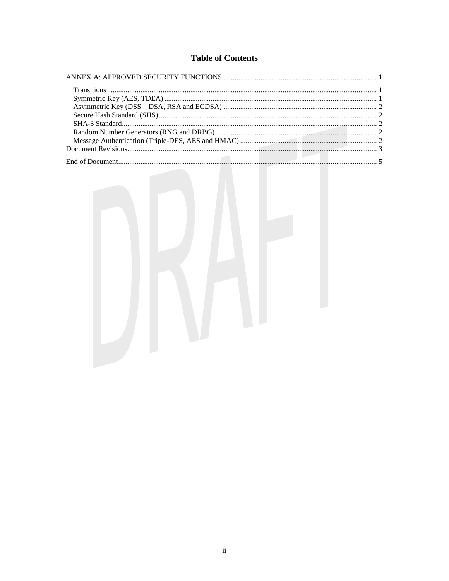# **Table of Contents**

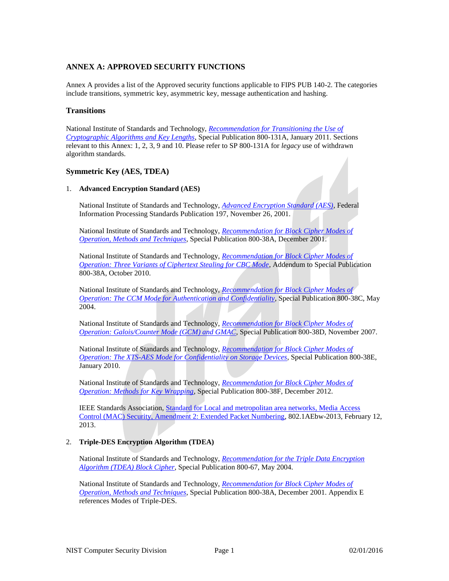# <span id="page-3-0"></span>**ANNEX A: APPROVED SECURITY FUNCTIONS**

Annex A provides a list of the Approved security functions applicable to FIPS PUB 140-2. The categories include transitions, symmetric key, asymmetric key, message authentication and hashing.

## <span id="page-3-1"></span>**Transitions**

National Institute of Standards and Technology, *[Recommendation for Transitioning the Use of](http://csrc.nist.gov/publications/nistpubs/800-131A/sp800-131A.pdf)  [Cryptographic Algorithms and Key Lengths](http://csrc.nist.gov/publications/nistpubs/800-131A/sp800-131A.pdf)*, Special Publication 800-131A, January 2011. Sections relevant to this Annex: 1, 2, 3, 9 and 10. Please refer to SP 800-131A for *legacy* use of withdrawn algorithm standards.

## <span id="page-3-2"></span>**Symmetric Key (AES, TDEA)**

#### 1. **Advanced Encryption Standard (AES)**

National Institute of Standards and Technology, *[Advanced Encryption Standard \(AES\)](http://csrc.nist.gov/publications/fips/fips197/fips-197.pdf)*, Federal Information Processing Standards Publication 197, November 26, 2001.

National Institute of Standards and Technology, *[Recommendation for Block Cipher Modes of](http://csrc.nist.gov/publications/nistpubs/800-38a/sp800-38a.pdf)  [Operation, Methods and Techniques](http://csrc.nist.gov/publications/nistpubs/800-38a/sp800-38a.pdf)*, Special Publication 800-38A, December 2001.

National Institute of Standards and Technology, *[Recommendation for Block Cipher Modes of](http://csrc.nist.gov/publications/nistpubs/800-38a/addendum-to-nist_sp800-38A.pdf)  [Operation: Three Variants of Ciphertext Stealing for CBC Mode](http://csrc.nist.gov/publications/nistpubs/800-38a/addendum-to-nist_sp800-38A.pdf)*, Addendum to Special Publication 800-38A, October 2010.

National Institute of Standards and Technology, *[Recommendation for Block Cipher Modes of](http://csrc.nist.gov/publications/nistpubs/800-38C/SP800-38C_updated-July20_2007.pdf)  Operation: [The CCM Mode for Authentication and Confidentiality](http://csrc.nist.gov/publications/nistpubs/800-38C/SP800-38C_updated-July20_2007.pdf)*, Special Publication 800-38C, May 2004.

National Institute of Standards and Technology, *[Recommendation for Block Cipher Modes of](http://csrc.nist.gov/publications/nistpubs/800-38D/SP-800-38D.pdf)  [Operation: Galois/Counter Mode \(GCM\) and GMAC](http://csrc.nist.gov/publications/nistpubs/800-38D/SP-800-38D.pdf)*, Special Publication 800-38D, November 2007.

National Institute of Standards and Technology, *[Recommendation for Block Cipher Modes of](http://csrc.nist.gov/publications/nistpubs/800-38E/nist-sp-800-38E.pdf)  [Operation: The XTS-AES Mode for Confidentiality on Storage Devices](http://csrc.nist.gov/publications/nistpubs/800-38E/nist-sp-800-38E.pdf)*, Special Publication 800-38E, January 2010.

National Institute of Standards and Technology, *[Recommendation for Block Cipher Modes of](http://dx.doi.org/10.6028/NIST.SP.800-38F)  [Operation: Methods for Key Wrapping](http://dx.doi.org/10.6028/NIST.SP.800-38F)*, Special Publication 800-38F, December 2012.

IEEE Standards Association, [Standard for Local and metropolitan area networks, Media Access](http://standards.ieee.org/getieee802/download/802.1AEbw-2013.pdf)  [Control \(MAC\) Security, Amendment 2: Extended Packet Numbering,](http://standards.ieee.org/getieee802/download/802.1AEbw-2013.pdf) 802.1AEbw-2013, February 12, 2013.

## 2. **Triple-DES Encryption Algorithm (TDEA)**

National Institute of Standards and Technology, *[Recommendation for the Triple Data Encryption](http://csrc.nist.gov/publications/nistpubs/800-67/SP800-67.pdf)  [Algorithm \(TDEA\) Block Cipher](http://csrc.nist.gov/publications/nistpubs/800-67/SP800-67.pdf)*, Special Publication 800-67, May 2004.

National Institute of Standards and Technology, *[Recommendation for Block Cipher Modes of](http://csrc.nist.gov/publications/nistpubs/800-38a/sp800-38a.pdf)  [Operation, Methods and Techniques](http://csrc.nist.gov/publications/nistpubs/800-38a/sp800-38a.pdf)*, Special Publication 800-38A, December 2001. Appendix E references Modes of Triple-DES.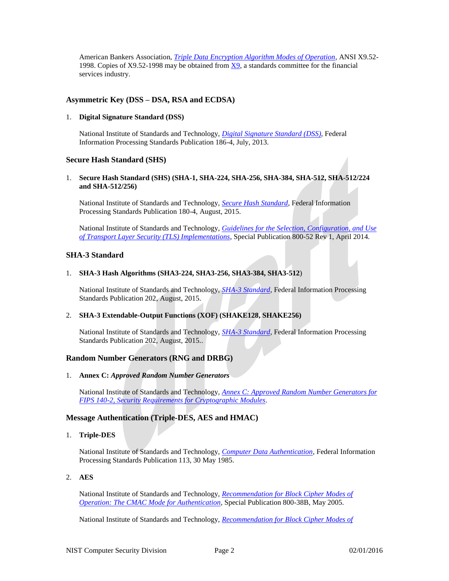American Bankers Association, *Triple Data Encryption Algorithm Modes of Operation,* ANSI X9.52- 1998. Copies of X9.52-1998 may be obtained from [X9,](http://www.nist.gov/cgi-bin/exit_nist.cgi?url=http://www.x9.org/) a standards committee for the financial services industry.

## <span id="page-4-0"></span>**Asymmetric Key (DSS – DSA, RSA and ECDSA)**

#### 1. **Digital Signature Standard (DSS)**

National Institute of Standards and Technology, *[Digital Signature Standard \(DSS\)](http://nvlpubs.nist.gov/nistpubs/FIPS/NIST.FIPS.186-4.pdf)*, Federal Information Processing Standards Publication 186-4, July, 2013.

## <span id="page-4-1"></span>**Secure Hash Standard (SHS)**

1. **Secure Hash Standard (SHS) (SHA-1, SHA-224, SHA-256, SHA-384, SHA-512, SHA-512/224 and SHA-512/256)**

National Institute of Standards and Technology, *[Secure Hash Standard](http://csrc.nist.gov/publications/fips/fips180-4/fips-180-4.pdf)*, Federal Information Processing Standards Publication 180-4, August, 2015.

National Institute of Standards and Technology, *[Guidelines for the Selection, Configuration, and Use](http://nvlpubs.nist.gov/nistpubs/SpecialPublications/NIST.SP.800-52r1.pdf)  [of Transport Layer Security \(TLS\) Implementations](http://nvlpubs.nist.gov/nistpubs/SpecialPublications/NIST.SP.800-52r1.pdf)*, Special Publication 800-52 Rev 1, April 2014.

## <span id="page-4-2"></span>**SHA-3 Standard**

#### 1. **SHA-3 Hash Algorithms (SHA3-224, SHA3-256, SHA3-384, SHA3-512**)

National Institute of Standards and Technology, *[SHA-3 Standard](http://nvlpubs.nist.gov/nistpubs/FIPS/NIST.FIPS.202.pdf)*, Federal Information Processing Standards Publication 202, August, 2015.

## 2. **SHA-3 Extendable-Output Functions (XOF) (SHAKE128, SHAKE256)**

National Institute of Standards and Technology, *[SHA-3 Standard](http://nvlpubs.nist.gov/nistpubs/FIPS/NIST.FIPS.202.pdf)*, Federal Information Processing Standards Publication 202, August, 2015..

# <span id="page-4-3"></span>**Random Number Generators (RNG and DRBG)**

1. **Annex C:** *Approved Random Number Generators*

National Institute of Standards and Technology, *[Annex C: Approved Random Number Generators for](http://csrc.nist.gov/publications/fips/fips140-2/fips1402annexc.pdf)  [FIPS 140-2, Security Requirements for Cryptographic Modules](http://csrc.nist.gov/publications/fips/fips140-2/fips1402annexc.pdf)*.

# <span id="page-4-4"></span>**Message Authentication (Triple-DES, AES and HMAC)**

1. **Triple-DES**

National Institute of Standards and Technology, *[Computer Data Authentication](http://www.itl.nist.gov/fipspubs/fip113.htm)*, Federal Information Processing Standards Publication 113, 30 May 1985.

## 2. **AES**

National Institute of Standards and Technology, *[Recommendation for Block Cipher Modes of](http://csrc.nist.gov/publications/nistpubs/800-38B/SP_800-38B.pdf)  [Operation: The CMAC Mode for Authentication](http://csrc.nist.gov/publications/nistpubs/800-38B/SP_800-38B.pdf)*, Special Publication 800-38B, May 2005.

National Institute of Standards and Technology, *[Recommendation for Block Cipher Modes of](http://csrc.nist.gov/publications/nistpubs/800-38C/SP800-38C.pdf)*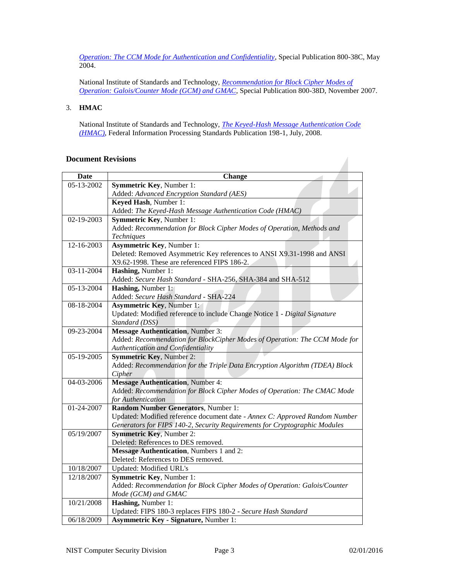*[Operation: The CCM Mode for Authentication and Confidentiality](http://csrc.nist.gov/publications/nistpubs/800-38C/SP800-38C.pdf)*, Special Publication 800-38C, May 2004.

National Institute of Standards and Technology, *[Recommendation for Block Cipher Modes of](http://csrc.nist.gov/publications/nistpubs/800-38D/SP-800-38D.pdf)  [Operation: Galois/Counter Mode \(GCM\) and GMAC](http://csrc.nist.gov/publications/nistpubs/800-38D/SP-800-38D.pdf)*, Special Publication 800-38D, November 2007.

## 3. **HMAC**

National Institute of Standards and Technology, *[The Keyed-Hash Message Authentication Code](http://csrc.nist.gov/publications/fips/fips198-1/FIPS-198-1_final.pdf)  [\(HMAC\)](http://csrc.nist.gov/publications/fips/fips198-1/FIPS-198-1_final.pdf)*, Federal Information Processing Standards Publication 198-1, July, 2008.

## <span id="page-5-0"></span>**Document Revisions**

| <b>Date</b>      | <b>Change</b>                                                                                                 |
|------------------|---------------------------------------------------------------------------------------------------------------|
| 05-13-2002       | <b>Symmetric Key, Number 1:</b>                                                                               |
|                  | Added: Advanced Encryption Standard (AES)                                                                     |
|                  | Keyed Hash, Number 1:                                                                                         |
|                  | Added: The Keyed-Hash Message Authentication Code (HMAC)                                                      |
| $02 - 19 - 2003$ | <b>Symmetric Key, Number 1:</b>                                                                               |
|                  | Added: Recommendation for Block Cipher Modes of Operation, Methods and                                        |
|                  | Techniques                                                                                                    |
| 12-16-2003       | <b>Asymmetric Key, Number 1:</b>                                                                              |
|                  | Deleted: Removed Asymmetric Key references to ANSI X9.31-1998 and ANSI                                        |
|                  | X9.62-1998. These are referenced FIPS 186-2.                                                                  |
| 03-11-2004       | Hashing, Number 1:                                                                                            |
|                  | Added: Secure Hash Standard - SHA-256, SHA-384 and SHA-512                                                    |
| 05-13-2004       | Hashing, Number 1:                                                                                            |
|                  | Added: Secure Hash Standard - SHA-224                                                                         |
| 08-18-2004       | <b>Asymmetric Key, Number 1:</b>                                                                              |
|                  | Updated: Modified reference to include Change Notice 1 - Digital Signature                                    |
|                  | Standard (DSS)                                                                                                |
| 09-23-2004       | <b>Message Authentication</b> , Number 3:                                                                     |
|                  | Added: Recommendation for BlockCipher Modes of Operation: The CCM Mode for                                    |
|                  | Authentication and Confidentiality                                                                            |
| 05-19-2005       | Symmetric Key, Number 2:                                                                                      |
|                  | Added: Recommendation for the Triple Data Encryption Algorithm (TDEA) Block                                   |
|                  | Cipher                                                                                                        |
| 04-03-2006       | <b>Message Authentication</b> , Number 4:                                                                     |
|                  | Added: Recommendation for Block Cipher Modes of Operation: The CMAC Mode                                      |
|                  | for Authentication                                                                                            |
| 01-24-2007       | <b>Random Number Generators, Number 1:</b>                                                                    |
|                  | Updated: Modified reference document date - Annex C: Approved Random Number                                   |
| 05/19/2007       | Generators for FIPS 140-2, Security Requirements for Cryptographic Modules<br><b>Symmetric Key, Number 2:</b> |
|                  | Deleted: References to DES removed.                                                                           |
|                  | <b>Message Authentication</b> , Numbers 1 and 2:                                                              |
|                  | Deleted: References to DES removed.                                                                           |
| 10/18/2007       | Updated: Modified URL's                                                                                       |
| 12/18/2007       | Symmetric Key, Number 1:                                                                                      |
|                  | Added: Recommendation for Block Cipher Modes of Operation: Galois/Counter                                     |
|                  | Mode (GCM) and GMAC                                                                                           |
| 10/21/2008       | Hashing, Number 1:                                                                                            |
|                  | Updated: FIPS 180-3 replaces FIPS 180-2 - Secure Hash Standard                                                |
|                  | <b>Asymmetric Key - Signature, Number 1:</b>                                                                  |
| 06/18/2009       |                                                                                                               |

 $\overline{\phantom{a}}$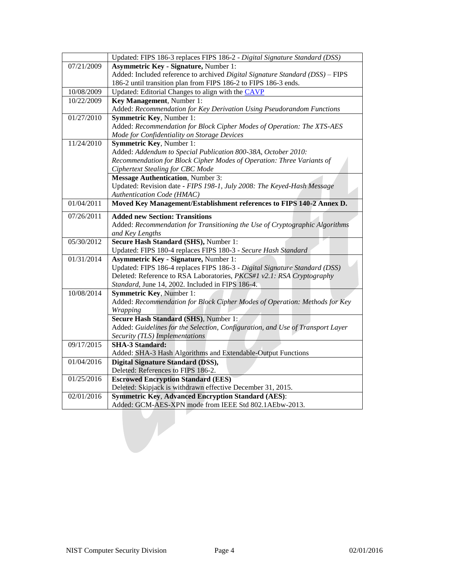|            | Updated: FIPS 186-3 replaces FIPS 186-2 - Digital Signature Standard (DSS)     |
|------------|--------------------------------------------------------------------------------|
| 07/21/2009 | <b>Asymmetric Key - Signature, Number 1:</b>                                   |
|            | Added: Included reference to archived Digital Signature Standard (DSS) - FIPS  |
|            | 186-2 until transition plan from FIPS 186-2 to FIPS 186-3 ends.                |
| 10/08/2009 | Updated: Editorial Changes to align with the CAVP                              |
| 10/22/2009 | Key Management, Number 1:                                                      |
|            | Added: Recommendation for Key Derivation Using Pseudorandom Functions          |
| 01/27/2010 | Symmetric Key, Number 1:                                                       |
|            | Added: Recommendation for Block Cipher Modes of Operation: The XTS-AES         |
|            | Mode for Confidentiality on Storage Devices                                    |
| 11/24/2010 | Symmetric Key, Number 1:                                                       |
|            | Added: Addendum to Special Publication 800-38A, October 2010:                  |
|            | Recommendation for Block Cipher Modes of Operation: Three Variants of          |
|            | Ciphertext Stealing for CBC Mode                                               |
|            | <b>Message Authentication</b> , Number 3:                                      |
|            | Updated: Revision date - FIPS 198-1, July 2008: The Keyed-Hash Message         |
|            | Authentication Code (HMAC)                                                     |
| 01/04/2011 | Moved Key Management/Establishment references to FIPS 140-2 Annex D.           |
| 07/26/2011 | <b>Added new Section: Transitions</b>                                          |
|            | Added: Recommendation for Transitioning the Use of Cryptographic Algorithms    |
|            | and Key Lengths                                                                |
| 05/30/2012 | Secure Hash Standard (SHS), Number 1:                                          |
|            | Updated: FIPS 180-4 replaces FIPS 180-3 - Secure Hash Standard                 |
| 01/31/2014 | <b>Asymmetric Key - Signature, Number 1:</b>                                   |
|            | Updated: FIPS 186-4 replaces FIPS 186-3 - Digital Signature Standard (DSS)     |
|            | Deleted: Reference to RSA Laboratories, PKCS#1 v2.1: RSA Cryptography          |
|            | Standard, June 14, 2002. Included in FIPS 186-4.                               |
| 10/08/2014 | <b>Symmetric Key, Number 1:</b>                                                |
|            | Added: Recommendation for Block Cipher Modes of Operation: Methods for Key     |
|            | <i>Wrapping</i>                                                                |
|            | Secure Hash Standard (SHS), Number 1:                                          |
|            | Added: Guidelines for the Selection, Configuration, and Use of Transport Layer |
|            | Security (TLS) Implementations                                                 |
| 09/17/2015 | <b>SHA-3 Standard:</b>                                                         |
|            | Added: SHA-3 Hash Algorithms and Extendable-Output Functions                   |
| 01/04/2016 | <b>Digital Signature Standard (DSS),</b>                                       |
|            | Deleted: References to FIPS 186-2.                                             |
| 01/25/2016 | <b>Escrowed Encryption Standard (EES)</b>                                      |
|            | Deleted: Skipjack is withdrawn effective December 31, 2015.                    |
| 02/01/2016 | <b>Symmetric Key, Advanced Encryption Standard (AES):</b>                      |
|            | Added: GCM-AES-XPN mode from IEEE Std 802.1AEbw-2013.                          |
|            |                                                                                |
|            |                                                                                |
|            |                                                                                |
|            |                                                                                |
|            |                                                                                |